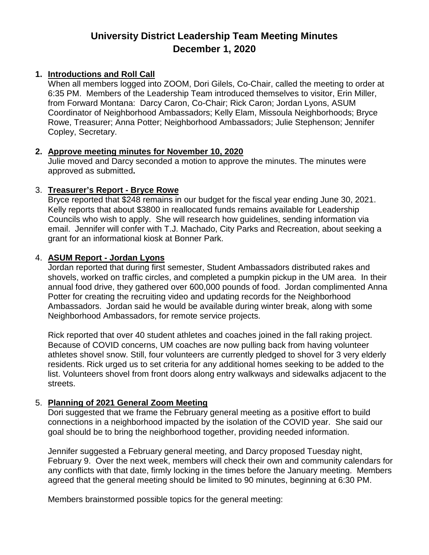# **University District Leadership Team Meeting Minutes December 1, 2020**

#### **1. Introductions and Roll Call**

When all members logged into ZOOM, Dori Gilels, Co-Chair, called the meeting to order at 6:35 PM. Members of the Leadership Team introduced themselves to visitor, Erin Miller, from Forward Montana: Darcy Caron, Co-Chair; Rick Caron; Jordan Lyons, ASUM Coordinator of Neighborhood Ambassadors; Kelly Elam, Missoula Neighborhoods; Bryce Rowe, Treasurer; Anna Potter; Neighborhood Ambassadors; Julie Stephenson; Jennifer Copley, Secretary.

#### **2. Approve meeting minutes for November 10, 2020**

Julie moved and Darcy seconded a motion to approve the minutes. The minutes were approved as submitted**.**

#### 3. **Treasurer's Report - Bryce Rowe**

Bryce reported that \$248 remains in our budget for the fiscal year ending June 30, 2021. Kelly reports that about \$3800 in reallocated funds remains available for Leadership Councils who wish to apply. She will research how guidelines, sending information via email. Jennifer will confer with T.J. Machado, City Parks and Recreation, about seeking a grant for an informational kiosk at Bonner Park.

#### 4. **ASUM Report - Jordan Lyons**

Jordan reported that during first semester, Student Ambassadors distributed rakes and shovels, worked on traffic circles, and completed a pumpkin pickup in the UM area. In their annual food drive, they gathered over 600,000 pounds of food. Jordan complimented Anna Potter for creating the recruiting video and updating records for the Neighborhood Ambassadors. Jordan said he would be available during winter break, along with some Neighborhood Ambassadors, for remote service projects.

Rick reported that over 40 student athletes and coaches joined in the fall raking project. Because of COVID concerns, UM coaches are now pulling back from having volunteer athletes shovel snow. Still, four volunteers are currently pledged to shovel for 3 very elderly residents. Rick urged us to set criteria for any additional homes seeking to be added to the list. Volunteers shovel from front doors along entry walkways and sidewalks adjacent to the streets.

## 5. **Planning of 2021 General Zoom Meeting**

Dori suggested that we frame the February general meeting as a positive effort to build connections in a neighborhood impacted by the isolation of the COVID year. She said our goal should be to bring the neighborhood together, providing needed information.

Jennifer suggested a February general meeting, and Darcy proposed Tuesday night, February 9. Over the next week, members will check their own and community calendars for any conflicts with that date, firmly locking in the times before the January meeting. Members agreed that the general meeting should be limited to 90 minutes, beginning at 6:30 PM.

Members brainstormed possible topics for the general meeting: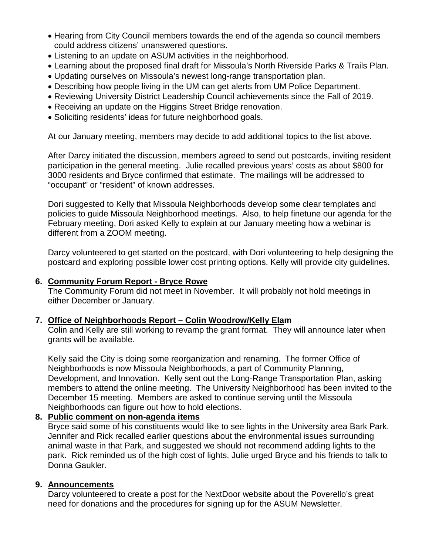- Hearing from City Council members towards the end of the agenda so council members could address citizens' unanswered questions.
- Listening to an update on ASUM activities in the neighborhood.
- Learning about the proposed final draft for Missoula's North Riverside Parks & Trails Plan.
- Updating ourselves on Missoula's newest long-range transportation plan.
- Describing how people living in the UM can get alerts from UM Police Department.
- Reviewing University District Leadership Council achievements since the Fall of 2019.
- Receiving an update on the Higgins Street Bridge renovation.
- Soliciting residents' ideas for future neighborhood goals.

At our January meeting, members may decide to add additional topics to the list above.

After Darcy initiated the discussion, members agreed to send out postcards, inviting resident participation in the general meeting. Julie recalled previous years' costs as about \$800 for 3000 residents and Bryce confirmed that estimate. The mailings will be addressed to "occupant" or "resident" of known addresses.

Dori suggested to Kelly that Missoula Neighborhoods develop some clear templates and policies to guide Missoula Neighborhood meetings. Also, to help finetune our agenda for the February meeting, Dori asked Kelly to explain at our January meeting how a webinar is different from a ZOOM meeting.

Darcy volunteered to get started on the postcard, with Dori volunteering to help designing the postcard and exploring possible lower cost printing options. Kelly will provide city guidelines.

## **6. Community Forum Report - Bryce Rowe**

The Community Forum did not meet in November. It will probably not hold meetings in either December or January.

## **7. Office of Neighborhoods Report – Colin Woodrow/Kelly Elam**

Colin and Kelly are still working to revamp the grant format. They will announce later when grants will be available.

Kelly said the City is doing some reorganization and renaming. The former Office of Neighborhoods is now Missoula Neighborhoods, a part of Community Planning, Development, and Innovation. Kelly sent out the Long-Range Transportation Plan, asking members to attend the online meeting. The University Neighborhood has been invited to the December 15 meeting. Members are asked to continue serving until the Missoula Neighborhoods can figure out how to hold elections.

## **8. Public comment on non-agenda items**

Bryce said some of his constituents would like to see lights in the University area Bark Park. Jennifer and Rick recalled earlier questions about the environmental issues surrounding animal waste in that Park, and suggested we should not recommend adding lights to the park. Rick reminded us of the high cost of lights. Julie urged Bryce and his friends to talk to Donna Gaukler.

## **9. Announcements**

Darcy volunteered to create a post for the NextDoor website about the Poverello's great need for donations and the procedures for signing up for the ASUM Newsletter.